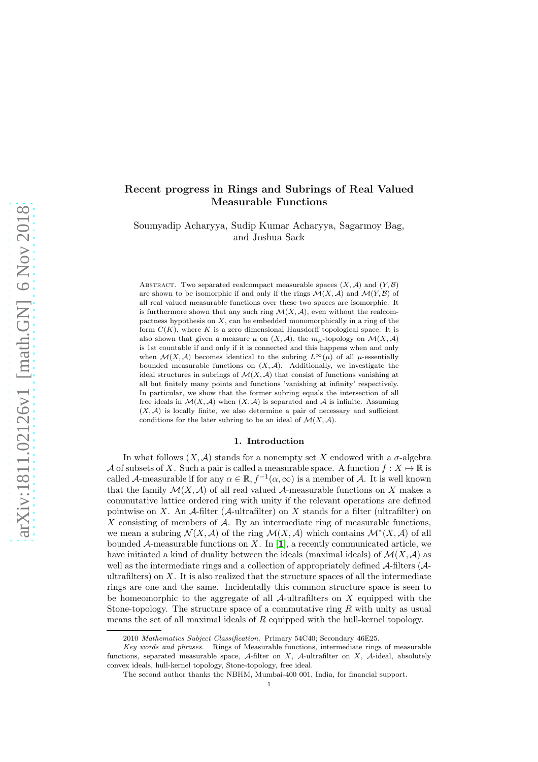# Recent progress in Rings and Subrings of Real Valued Measurable Functions

Soumyadip Acharyya, Sudip Kumar Acharyya, Sagarmoy Bag, and Joshua Sack

ABSTRACT. Two separated realcompact measurable spaces  $(X, \mathcal{A})$  and  $(Y, \mathcal{B})$ are shown to be isomorphic if and only if the rings  $\mathcal{M}(X, \mathcal{A})$  and  $\mathcal{M}(Y, \mathcal{B})$  of all real valued measurable functions over these two spaces are isomorphic. It is furthermore shown that any such ring  $\mathcal{M}(X,\mathcal{A})$ , even without the realcompactness hypothesis on  $X$ , can be embedded monomorphically in a ring of the form  $C(K)$ , where K is a zero dimensional Hausdorff topological space. It is also shown that given a measure  $\mu$  on  $(X, \mathcal{A})$ , the  $m_{\mu}$ -topology on  $\mathcal{M}(X, \mathcal{A})$ is 1st countable if and only if it is connected and this happens when and only when  $\mathcal{M}(X, \mathcal{A})$  becomes identical to the subring  $L^{\infty}(\mu)$  of all  $\mu$ -essentially bounded measurable functions on  $(X, \mathcal{A})$ . Additionally, we investigate the ideal structures in subrings of  $\mathcal{M}(X, \mathcal{A})$  that consist of functions vanishing at all but finitely many points and functions 'vanishing at infinity' respectively. In particular, we show that the former subring equals the intersection of all free ideals in  $\mathcal{M}(X, \mathcal{A})$  when  $(X, \mathcal{A})$  is separated and  $\mathcal{A}$  is infinite. Assuming  $(X, \mathcal{A})$  is locally finite, we also determine a pair of necessary and sufficient conditions for the later subring to be an ideal of  $\mathcal{M}(X, \mathcal{A})$ .

### 1. Introduction

In what follows  $(X, \mathcal{A})$  stands for a nonempty set X endowed with a  $\sigma$ -algebra A of subsets of X. Such a pair is called a measurable space. A function  $f: X \mapsto \mathbb{R}$  is called A-measurable if for any  $\alpha \in \mathbb{R}$ ,  $f^{-1}(\alpha, \infty)$  is a member of A. It is well known that the family  $\mathcal{M}(X,\mathcal{A})$  of all real valued  $\mathcal{A}$ -measurable functions on X makes a commutative lattice ordered ring with unity if the relevant operations are defined pointwise on X. An  $\mathcal A$ -filter ( $\mathcal A$ -ultrafilter) on X stands for a filter (ultrafilter) on X consisting of members of  $A$ . By an intermediate ring of measurable functions, we mean a subring  $\mathcal{N}(X,\mathcal{A})$  of the ring  $\mathcal{M}(X,\mathcal{A})$  which contains  $\mathcal{M}^*(X,\mathcal{A})$  of all bounded A-measurable functions on X. In [[1](#page-11-0)], a recently communicated article, we have initiated a kind of duality between the ideals (maximal ideals) of  $\mathcal{M}(X,\mathcal{A})$  as well as the intermediate rings and a collection of appropriately defined A-filters (Aultrafilters) on  $X$ . It is also realized that the structure spaces of all the intermediate rings are one and the same. Incidentally this common structure space is seen to be homeomorphic to the aggregate of all  $A$ -ultrafilters on X equipped with the Stone-topology. The structure space of a commutative ring  $R$  with unity as usual means the set of all maximal ideals of R equipped with the hull-kernel topology.

<sup>2010</sup> Mathematics Subject Classification. Primary 54C40; Secondary 46E25.

Key words and phrases. Rings of Measurable functions, intermediate rings of measurable functions, separated measurable space, A-filter on X, A-ultrafilter on X, A-ideal, absolutely convex ideals, hull-kernel topology, Stone-topology, free ideal.

The second author thanks the NBHM, Mumbai-400 001, India, for financial support.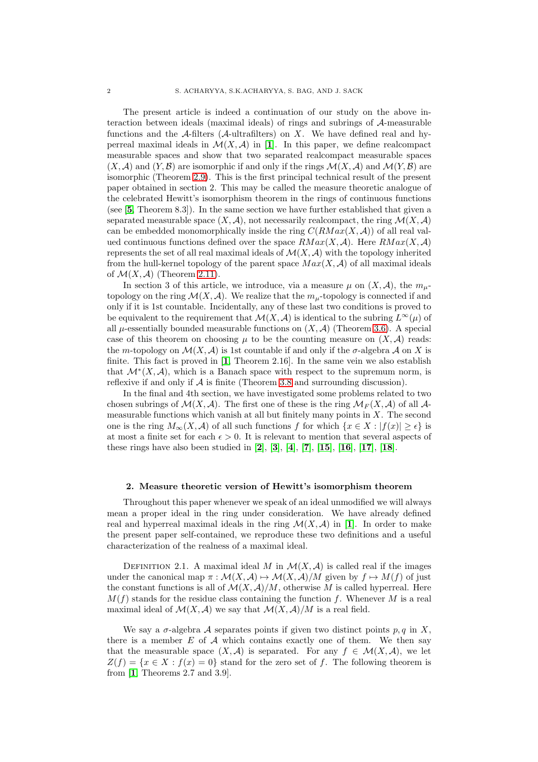The present article is indeed a continuation of our study on the above interaction between ideals (maximal ideals) of rings and subrings of A-measurable functions and the A-filters (A-ultrafilters) on X. We have defined real and hyperreal maximal ideals in  $\mathcal{M}(X,\mathcal{A})$  in [[1](#page-11-0)]. In this paper, we define realcompact measurable spaces and show that two separated realcompact measurable spaces  $(X, \mathcal{A})$  and  $(Y, \mathcal{B})$  are isomorphic if and only if the rings  $\mathcal{M}(X, \mathcal{A})$  and  $\mathcal{M}(Y, \mathcal{B})$  are isomorphic (Theorem [2.9\)](#page-3-0). This is the first principal technical result of the present paper obtained in section 2. This may be called the measure theoretic analogue of the celebrated Hewitt's isomorphism theorem in the rings of continuous functions (see [[5](#page-11-1), Theorem 8.3]). In the same section we have further established that given a separated measurable space  $(X, \mathcal{A})$ , not necessarily realcompact, the ring  $\mathcal{M}(X, \mathcal{A})$ can be embedded monomorphically inside the ring  $C(RMax(X, \mathcal{A}))$  of all real valued continuous functions defined over the space  $RMax(X, \mathcal{A})$ . Here  $RMax(X, \mathcal{A})$ represents the set of all real maximal ideals of  $\mathcal{M}(X,\mathcal{A})$  with the topology inherited from the hull-kernel topology of the parent space  $Max(X, \mathcal{A})$  of all maximal ideals of  $\mathcal{M}(X, \mathcal{A})$  (Theorem [2.11\)](#page-3-1).

In section 3 of this article, we introduce, via a measure  $\mu$  on  $(X, \mathcal{A})$ , the  $m_{\mu}$ topology on the ring  $\mathcal{M}(X,\mathcal{A})$ . We realize that the  $m_{\mu}$ -topology is connected if and only if it is 1st countable. Incidentally, any of these last two conditions is proved to be equivalent to the requirement that  $\mathcal{M}(X, \mathcal{A})$  is identical to the subring  $L^{\infty}(\mu)$  of all  $\mu$ -essentially bounded measurable functions on  $(X, \mathcal{A})$  (Theorem [3.6\)](#page-7-0). A special case of this theorem on choosing  $\mu$  to be the counting measure on  $(X, \mathcal{A})$  reads: the m-topology on  $\mathcal{M}(X,\mathcal{A})$  is 1st countable if and only if the  $\sigma$ -algebra  $\mathcal A$  on X is finite. This fact is proved in [[1](#page-11-0), Theorem 2.16]. In the same vein we also establish that  $\mathcal{M}^*(X, \mathcal{A})$ , which is a Banach space with respect to the supremum norm, is reflexive if and only if  $\mathcal A$  is finite (Theorem [3.8](#page-8-0) and surrounding discussion).

In the final and 4th section, we have investigated some problems related to two chosen subrings of  $\mathcal{M}(X, \mathcal{A})$ . The first one of these is the ring  $\mathcal{M}_F(X, \mathcal{A})$  of all  $\mathcal{A}$ measurable functions which vanish at all but finitely many points in  $X$ . The second one is the ring  $M_{\infty}(X, \mathcal{A})$  of all such functions f for which  $\{x \in X : |f(x)| \geq \epsilon\}$  is at most a finite set for each  $\epsilon > 0$ . It is relevant to mention that several aspects of these rings have also been studied in [[2](#page-11-2)], [[3](#page-11-3)], [[4](#page-11-4)], [[7](#page-11-5)], [[15](#page-12-0)], [[16](#page-12-1)], [[17](#page-12-2)], [[18](#page-12-3)].

#### 2. Measure theoretic version of Hewitt's isomorphism theorem

Throughout this paper whenever we speak of an ideal unmodified we will always mean a proper ideal in the ring under consideration. We have already defined real and hyperreal maximal ideals in the ring  $\mathcal{M}(X,\mathcal{A})$  in [[1](#page-11-0)]. In order to make the present paper self-contained, we reproduce these two definitions and a useful characterization of the realness of a maximal ideal.

DEFINITION 2.1. A maximal ideal M in  $\mathcal{M}(X,\mathcal{A})$  is called real if the images under the canonical map  $\pi : \mathcal{M}(X, \mathcal{A}) \mapsto \mathcal{M}(X, \mathcal{A})/M$  given by  $f \mapsto M(f)$  of just the constant functions is all of  $\mathcal{M}(X,\mathcal{A})/M$ , otherwise M is called hyperreal. Here  $M(f)$  stands for the residue class containing the function f. Whenever M is a real maximal ideal of  $\mathcal{M}(X,\mathcal{A})$  we say that  $\mathcal{M}(X,\mathcal{A})/M$  is a real field.

We say a  $\sigma$ -algebra A separates points if given two distinct points p, q in X, there is a member  $E$  of  $A$  which contains exactly one of them. We then say that the measurable space  $(X, \mathcal{A})$  is separated. For any  $f \in \mathcal{M}(X, \mathcal{A})$ , we let  $Z(f) = \{x \in X : f(x) = 0\}$  stand for the zero set of f. The following theorem is from [[1](#page-11-0), Theorems 2.7 and 3.9].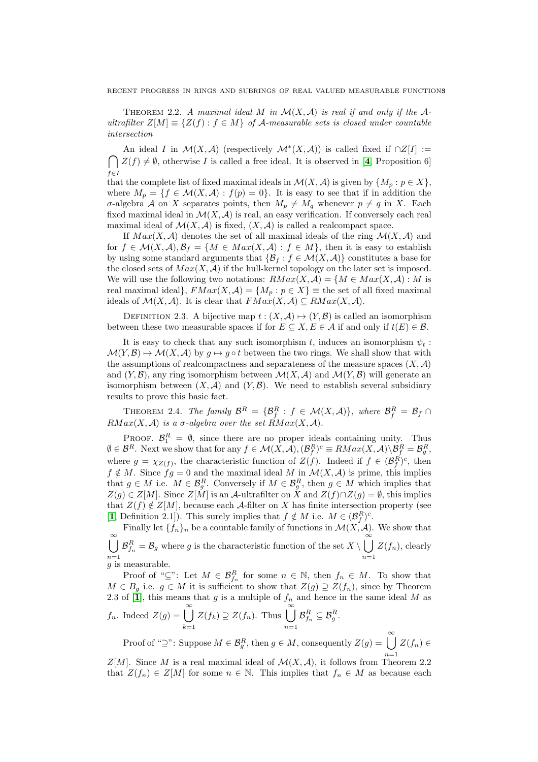THEOREM 2.2. A maximal ideal M in  $\mathcal{M}(X,\mathcal{A})$  is real if and only if the  $\mathcal{A}$ ultrafilter  $Z[M] \equiv \{Z(f) : f \in M\}$  of A-measurable sets is closed under countable intersection

An ideal I in  $\mathcal{M}(X,\mathcal{A})$  (respectively  $\mathcal{M}^*(X,\mathcal{A})$ ) is called fixed if  $\cap Z[I] :=$  $\bigcap Z(f) \neq \emptyset$ , otherwise I is called a free ideal. It is observed in [[4](#page-11-4), Proposition 6]  $f \in I$ 

that the complete list of fixed maximal ideals in  $\mathcal{M}(X,\mathcal{A})$  is given by  $\{M_p: p \in X\}$ , where  $M_p = \{f \in \mathcal{M}(X, \mathcal{A}) : f(p) = 0\}$ . It is easy to see that if in addition the σ-algebra A on X separates points, then  $M_p \neq M_q$  whenever  $p \neq q$  in X. Each fixed maximal ideal in  $\mathcal{M}(X,\mathcal{A})$  is real, an easy verification. If conversely each real maximal ideal of  $\mathcal{M}(X,\mathcal{A})$  is fixed,  $(X,\mathcal{A})$  is called a realcompact space.

If  $Max(X, \mathcal{A})$  denotes the set of all maximal ideals of the ring  $\mathcal{M}(X, \mathcal{A})$  and for  $f \in \mathcal{M}(X,\mathcal{A}), \mathcal{B}_f = \{M \in Max(X,\mathcal{A}) : f \in M\}$ , then it is easy to establish by using some standard arguments that  $\{\mathcal{B}_f : f \in \mathcal{M}(X,\mathcal{A})\}$  constitutes a base for the closed sets of  $Max(X, \mathcal{A})$  if the hull-kernel topology on the later set is imposed. We will use the following two notations:  $RMax(X, \mathcal{A}) = \{M \in Max(X, \mathcal{A}) : M \text{ is }$ real maximal ideal},  $FMax(X, \mathcal{A}) = \{M_p : p \in X\}$  = the set of all fixed maximal ideals of  $\mathcal{M}(X, \mathcal{A})$ . It is clear that  $FMax(X, \mathcal{A}) \subseteq RMax(X, \mathcal{A})$ .

DEFINITION 2.3. A bijective map  $t : (X, \mathcal{A}) \mapsto (Y, \mathcal{B})$  is called an isomorphism between these two measurable spaces if for  $E \subseteq X, E \in \mathcal{A}$  if and only if  $t(E) \in \mathcal{B}$ .

It is easy to check that any such isomorphism t, induces an isomorphism  $\psi_t$ :  $\mathcal{M}(Y,\mathcal{B}) \mapsto \mathcal{M}(X,\mathcal{A})$  by  $g \mapsto g \circ t$  between the two rings. We shall show that with the assumptions of realcompactness and separateness of the measure spaces  $(X, \mathcal{A})$ and  $(Y, \mathcal{B})$ , any ring isomorphism between  $\mathcal{M}(X, \mathcal{A})$  and  $\mathcal{M}(Y, \mathcal{B})$  will generate an isomorphism between  $(X, \mathcal{A})$  and  $(Y, \mathcal{B})$ . We need to establish several subsidiary results to prove this basic fact.

THEOREM 2.4. The family  $\mathcal{B}^R = \{ \mathcal{B}_f^R : f \in \mathcal{M}(X,\mathcal{A}) \}$ , where  $\mathcal{B}_f^R = \mathcal{B}_f \cap \mathcal{B}_f$  $RMax(X, \mathcal{A})$  is a  $\sigma$ -algebra over the set  $RMax(X, \mathcal{A})$ .

PROOF.  $\mathcal{B}_1^R = \emptyset$ , since there are no proper ideals containing unity. Thus  $\emptyset \in \mathcal{B}^R$ . Next we show that for any  $f \in \mathcal{M}(X, \mathcal{A}), (\mathcal{B}_f^R)^c \equiv RMax(X, \mathcal{A}) \backslash \mathcal{B}_f^R = \mathcal{B}_g^R$ , where  $g = \chi_{Z(f)}$ , the characteristic function of  $Z(f)$ . Indeed if  $f \in (B_f^R)^c$ , then  $f \notin M$ . Since  $fg = 0$  and the maximal ideal M in  $\mathcal{M}(X, \mathcal{A})$  is prime, this implies that  $g \in M$  i.e.  $M \in \mathcal{B}_{g}^{R}$ . Conversely if  $M \in \mathcal{B}_{g}^{R}$ , then  $g \in M$  which implies that  $Z(q) \in Z[M]$ . Since  $Z[M]$  is an A-ultrafilter on X and  $Z(f) \cap Z(g) = \emptyset$ , this implies that  $Z(f) \notin Z[M]$ , because each A-filter on X has finite intersection property (see [[1](#page-11-0), Definition 2.1]). This surely implies that  $f \notin M$  i.e.  $M \in (\mathcal{B}_f^R)^c$ .

Finally let  $\{f_n\}_n$  be a countable family of functions in  $\mathcal{M}(X, \mathcal{A})$ . We show that  $\bigcup^{\infty} \mathcal{B}_{f_n}^R = \mathcal{B}_g$  where g is the characteristic function of the set  $X \setminus \bigcup^{\infty}$  $n=1$ <br>*g* is measurable.  $n=1$  $Z(f_n)$ , clearly

Proof of " $\subseteq$ ": Let  $M \in \mathcal{B}_{f_n}^R$  for some  $n \in \mathbb{N}$ , then  $f_n \in M$ . To show that  $M \in B_g$  i.e.  $g \in M$  it is sufficient to show that  $Z(g) \supseteq Z(f_n)$ , since by Theorem 2.3 of [[1](#page-11-0)], this means that g is a multiple of  $f_n$  and hence in the same ideal M as  $f_n$ . Indeed  $Z(g) = \bigcup_{n=0}^{\infty}$  $Z(f_k) \supseteq Z(f_n)$ . Thus  $\bigcup_{n=1}^{\infty}$  $\mathcal{B}_{f_n}^R \subseteq \mathcal{B}_g^R.$ 

 $k=1$  $n=1$ Proof of "⊇": Suppose  $M \in \mathcal{B}_{g}^{R}$ , then  $g \in M$ , consequently  $Z(g) = \bigcup_{k=1}^{\infty} X_k$  $n=1$  $Z(f_n)\in$ 

 $Z[M]$ . Since M is a real maximal ideal of  $\mathcal{M}(X,\mathcal{A})$ , it follows from Theorem 2.2 that  $Z(f_n) \in Z[M]$  for some  $n \in \mathbb{N}$ . This implies that  $f_n \in M$  as because each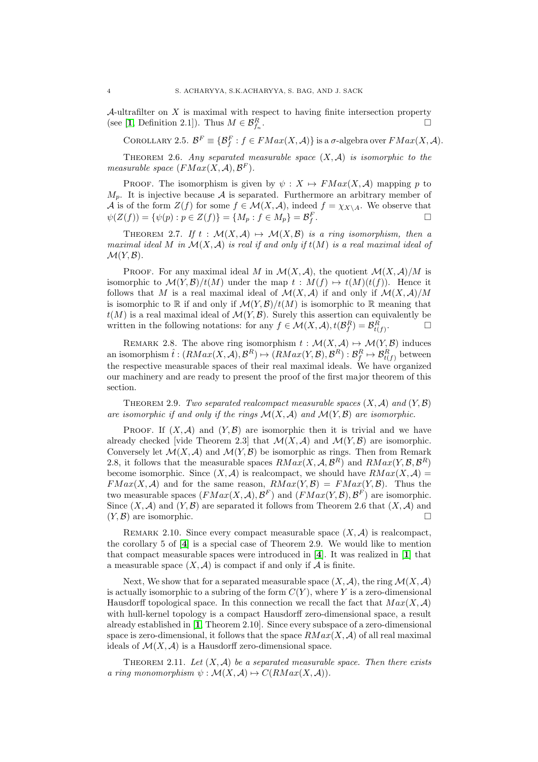A-ultrafilter on  $X$  is maximal with respect to having finite intersection property (see [[1](#page-11-0), Definition 2.1]). Thus  $M \in \mathcal{B}_{f_n}^R$ . В последните последните последните и последните и последните и последните и последните и последните и послед<br>В последните последните и последните и последните и последните и последните и последните и последните и послед

COROLLARY 2.5.  $\mathcal{B}^F \equiv \{ \mathcal{B}_f^F : f \in FMax(X, \mathcal{A}) \}$  is a  $\sigma$ -algebra over  $FMax(X, \mathcal{A})$ .

THEOREM 2.6. Any separated measurable space  $(X, \mathcal{A})$  is isomorphic to the measurable space  $(FMax(X, \mathcal{A}), \mathcal{B}^F)$ .

PROOF. The isomorphism is given by  $\psi : X \mapsto FMax(X, \mathcal{A})$  mapping p to  $M_p$ . It is injective because A is separated. Furthermore an arbitrary member of A is of the form  $Z(f)$  for some  $f \in \mathcal{M}(X,\mathcal{A})$ , indeed  $f = \chi_{X\setminus A}$ . We observe that  $\psi(Z(f)) = \{\psi(p) : p \in Z(f)\} = \{M_p : f \in M_p\} = \mathcal{B}_f^F$ .

THEOREM 2.7. If  $t : \mathcal{M}(X, \mathcal{A}) \mapsto \mathcal{M}(X, \mathcal{B})$  is a ring isomorphism, then a maximal ideal M in  $\mathcal{M}(X,\mathcal{A})$  is real if and only if  $t(M)$  is a real maximal ideal of  $\mathcal{M}(Y,\mathcal{B})$ .

PROOF. For any maximal ideal M in  $\mathcal{M}(X,\mathcal{A})$ , the quotient  $\mathcal{M}(X,\mathcal{A})/M$  is isomorphic to  $\mathcal{M}(Y,\mathcal{B})/t(M)$  under the map  $t : M(f) \mapsto t(M)(t(f))$ . Hence it follows that M is a real maximal ideal of  $\mathcal{M}(X,\mathcal{A})$  if and only if  $\mathcal{M}(X,\mathcal{A})/M$ is isomorphic to R if and only if  $\mathcal{M}(Y,\mathcal{B})/t(M)$  is isomorphic to R meaning that  $t(M)$  is a real maximal ideal of  $\mathcal{M}(Y,\mathcal{B})$ . Surely this assertion can equivalently be written in the following notations: for any  $f \in \mathcal{M}(X, \mathcal{A}), t(\mathcal{B}_{f}^{R}) = \mathcal{B}_{t(f)}^{R}$  $\Box$ 

REMARK 2.8. The above ring isomorphism  $t : \mathcal{M}(X, \mathcal{A}) \mapsto \mathcal{M}(Y, \mathcal{B})$  induces an isomorphism  $\hat{t}:(RMax(X, \mathcal{A}), \mathcal{B}^R) \mapsto (RMax(Y, \mathcal{B}), \mathcal{B}^R): \mathcal{B}_f^R \mapsto \mathcal{B}_{t(f)}^R$  between the respective measurable spaces of their real maximal ideals. We have organized our machinery and are ready to present the proof of the first major theorem of this section.

<span id="page-3-0"></span>THEOREM 2.9. Two separated realcompact measurable spaces  $(X, \mathcal{A})$  and  $(Y, \mathcal{B})$ are isomorphic if and only if the rings  $\mathcal{M}(X,\mathcal{A})$  and  $\mathcal{M}(Y,\mathcal{B})$  are isomorphic.

PROOF. If  $(X, \mathcal{A})$  and  $(Y, \mathcal{B})$  are isomorphic then it is trivial and we have already checked [vide Theorem 2.3] that  $\mathcal{M}(X,\mathcal{A})$  and  $\mathcal{M}(Y,\mathcal{B})$  are isomorphic. Conversely let  $\mathcal{M}(X,\mathcal{A})$  and  $\mathcal{M}(Y,\mathcal{B})$  be isomorphic as rings. Then from Remark 2.8, it follows that the measurable spaces  $RMax(X, \mathcal{A}, \mathcal{B}^R)$  and  $RMax(Y, \mathcal{B}, \mathcal{B}^R)$ become isomorphic. Since  $(X, \mathcal{A})$  is realcompact, we should have  $RMax(X, \mathcal{A}) =$  $FMax(X, \mathcal{A})$  and for the same reason,  $RMax(Y, \mathcal{B}) = FMax(Y, \mathcal{B})$ . Thus the two measurable spaces  $(FMax(X, \mathcal{A}), \mathcal{B}^F)$  and  $(FMax(Y, \mathcal{B}), \mathcal{B}^F)$  are isomorphic. Since  $(X, \mathcal{A})$  and  $(Y, \mathcal{B})$  are separated it follows from Theorem 2.6 that  $(X, \mathcal{A})$  and  $(Y, \mathcal{B})$  are isomorphic.

REMARK 2.10. Since every compact measurable space  $(X, \mathcal{A})$  is realcompact, the corollary 5 of [[4](#page-11-4)] is a special case of Theorem 2.9. We would like to mention that compact measurable spaces were introduced in [[4](#page-11-4)]. It was realized in [[1](#page-11-0)] that a measurable space  $(X, \mathcal{A})$  is compact if and only if  $\mathcal A$  is finite.

Next, We show that for a separated measurable space  $(X, \mathcal{A})$ , the ring  $\mathcal{M}(X, \mathcal{A})$ is actually isomorphic to a subring of the form  $C(Y)$ , where Y is a zero-dimensional Hausdorff topological space. In this connection we recall the fact that  $Max(X, \mathcal{A})$ with hull-kernel topology is a compact Hausdorff zero-dimensional space, a result already established in [[1](#page-11-0), Theorem 2.10]. Since every subspace of a zero-dimensional space is zero-dimensional, it follows that the space  $RMax(X, \mathcal{A})$  of all real maximal ideals of  $\mathcal{M}(X, \mathcal{A})$  is a Hausdorff zero-dimensional space.

<span id="page-3-1"></span>THEOREM 2.11. Let  $(X, \mathcal{A})$  be a separated measurable space. Then there exists a ring monomorphism  $\psi : \mathcal{M}(X, \mathcal{A}) \mapsto C(RMax(X, \mathcal{A})).$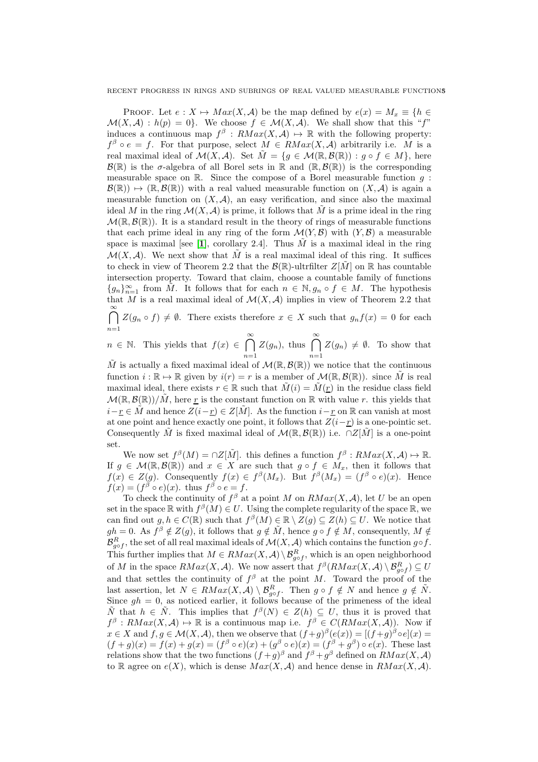PROOF. Let  $e: X \mapsto Max(X, \mathcal{A})$  be the map defined by  $e(x) = M_x \equiv \{h \in$  $\mathcal{M}(X,\mathcal{A}) : h(p) = 0$ . We choose  $f \in \mathcal{M}(X,\mathcal{A})$ . We shall show that this "f" induces a continuous map  $f^{\beta}: RMax(X, \mathcal{A}) \mapsto \mathbb{R}$  with the following property:  $f^{\beta} \circ e = f$ . For that purpose, select  $M \in RMax(X, \mathcal{A})$  arbitrarily i.e. M is a real maximal ideal of  $\mathcal{M}(X, \mathcal{A})$ . Set  $\tilde{M} = \{q \in \mathcal{M}(\mathbb{R}, \mathcal{B}(\mathbb{R})) : q \circ f \in M\}$ , here  $\mathcal{B}(\mathbb{R})$  is the  $\sigma$ -algebra of all Borel sets in  $\mathbb{R}$  and  $(\mathbb{R}, \mathcal{B}(\mathbb{R}))$  is the corresponding measurable space on  $\mathbb{R}$ . Since the compose of a Borel measurable function q:  $\mathcal{B}(\mathbb{R}) \mapsto (\mathbb{R}, \mathcal{B}(\mathbb{R}))$  with a real valued measurable function on  $(X, \mathcal{A})$  is again a measurable function on  $(X, \mathcal{A})$ , an easy verification, and since also the maximal ideal M in the ring  $\mathcal{M}(X, \mathcal{A})$  is prime, it follows that M is a prime ideal in the ring  $\mathcal{M}(\mathbb{R}, \mathcal{B}(\mathbb{R}))$ . It is a standard result in the theory of rings of measurable functions that each prime ideal in any ring of the form  $\mathcal{M}(Y,\mathcal{B})$  with  $(Y,\mathcal{B})$  a measurable space is maximal [see [[1](#page-11-0)], corollary 2.4]. Thus  $\tilde{M}$  is a maximal ideal in the ring  $\mathcal{M}(X,\mathcal{A})$ . We next show that M is a real maximal ideal of this ring. It suffices to check in view of Theorem 2.2 that the  $\mathcal{B}(\mathbb{R})$ -ultrfilter  $Z[\tilde{M}]$  on  $\mathbb R$  has countable intersection property. Toward that claim, choose a countable family of functions  ${g_n}_{n=1}^{\infty}$  from  $\tilde{M}$ . It follows that for each  $n \in \mathbb{N}, g_n \circ f \in M$ . The hypothesis that M is a real maximal ideal of  $\mathcal{M}(X,\mathcal{A})$  implies in view of Theorem 2.2 that  $\bigcap^{\infty} Z(g_n \circ f) \neq \emptyset$ . There exists therefore  $x \in X$  such that  $g_n f(x) = 0$  for each

 $n=1$ 

 $n \in \mathbb{N}$ . This yields that  $f(x) \in \bigcap^{\infty}$  $n=1$  $Z(g_n)$ , thus  $\bigcap^{\infty}$  $n=1$  $Z(g_n) \neq \emptyset$ . To show that

 $\tilde{M}$  is actually a fixed maximal ideal of  $\mathcal{M}(\mathbb{R}, \mathcal{B}(\mathbb{R}))$  we notice that the continuous function  $i : \mathbb{R} \to \mathbb{R}$  given by  $i(r) = r$  is a member of  $\mathcal{M}(\mathbb{R}, \mathcal{B}(\mathbb{R}))$ . since  $\tilde{M}$  is real maximal ideal, there exists  $r \in \mathbb{R}$  such that  $\tilde{M}(i) = \tilde{M}(r)$  in the residue class field  $\mathcal{M}(\mathbb{R},\mathcal{B}(\mathbb{R}))/\tilde{M}$ , here <u>r</u> is the constant function on R with value r. this yields that  $i-r \in \tilde{M}$  and hence  $Z(i-r) \in Z[\tilde{M}]$ . As the function  $i-r$  on R can vanish at most at one point and hence exactly one point, it follows that  $Z(i-\underline{r})$  is a one-pointic set. Consequently  $\tilde{M}$  is fixed maximal ideal of  $\mathcal{M}(\mathbb{R},\mathcal{B}(\mathbb{R}))$  i.e.  $\cap Z[\tilde{M}]$  is a one-point set.

We now set  $f^{\beta}(M) = \bigcap Z[\tilde{M}]$ . this defines a function  $f^{\beta}: RMax(X, \mathcal{A}) \mapsto \mathbb{R}$ . If  $g \in \mathcal{M}(\mathbb{R}, \mathcal{B}(\mathbb{R}))$  and  $x \in X$  are such that  $g \circ f \in M_x$ , then it follows that  $f(x) \in Z(g)$ . Consequently  $f(x) \in f^{\beta}(M_x)$ . But  $f^{\beta}(M_x) = (f^{\beta} \circ e)(x)$ . Hence  $f(x) = (f^{\beta} \circ e)(x)$ . thus  $f^{\beta} \circ e = f$ .

To check the continuity of  $f^{\beta}$  at a point M on  $RMax(X, \mathcal{A})$ , let U be an open set in the space  $\mathbb R$  with  $f^{\beta}(M) \in U$ . Using the complete regularity of the space  $\mathbb R$ , we can find out  $g, h \in C(\mathbb{R})$  such that  $f^{\beta}(M) \in \mathbb{R} \setminus Z(g) \subseteq Z(h) \subseteq U$ . We notice that  $gh = 0$ . As  $f^{\beta} \notin Z(g)$ , it follows that  $g \notin \tilde{M}$ , hence  $g \circ f \notin M$ , consequently,  $M \notin$  $\mathcal{B}_{g\circ f}^R$ , the set of all real maximal ideals of  $\mathcal{M}(X,\mathcal{A})$  which contains the function  $g\circ f$ . This further implies that  $M \in RMax(X, \mathcal{A}) \setminus \mathcal{B}_{g \circ f}^R$ , which is an open neighborhood of M in the space  $RMax(X, \mathcal{A})$ . We now assert that  $f^{\beta}(RMax(X, \mathcal{A}) \setminus \mathcal{B}_{g \circ f}^R) \subseteq U$ and that settles the continuity of  $f^{\beta}$  at the point M. Toward the proof of the last assertion, let  $N \in \mathbb{R} \mathbb{N}$  ax $(X, \mathcal{A}) \setminus \mathcal{B}_{g \circ f}^R$ . Then  $g \circ f \notin N$  and hence  $g \notin \tilde{N}$ . Since  $gh = 0$ , as noticed earlier, it follows because of the primeness of the ideal  $\tilde{N}$  that  $h \in \tilde{N}$ . This implies that  $f^{\beta}(N) \in Z(h) \subseteq U$ , thus it is proved that  $f^{\beta}: RMax(X, \mathcal{A}) \mapsto \mathbb{R}$  is a continuous map i.e.  $f^{\beta} \in C(RMax(X, \mathcal{A}))$ . Now if  $x \in X$  and  $f, g \in \mathcal{M}(X, \mathcal{A})$ , then we observe that  $(f+g)^{\beta}(e(x)) = [(f+g)^{\beta} \circ e](x) =$  $(f+g)(x) = f(x) + g(x) = (f^{\beta} \circ e)(x) + (g^{\beta} \circ e)(x) = (f^{\beta} + g^{\beta}) \circ e(x)$ . These last relations show that the two functions  $(f+g)^\beta$  and  $f^\beta+g^\beta$  defined on  $RMax(X, \mathcal{A})$ to R agree on  $e(X)$ , which is dense  $Max(X, \mathcal{A})$  and hence dense in  $RMax(X, \mathcal{A})$ .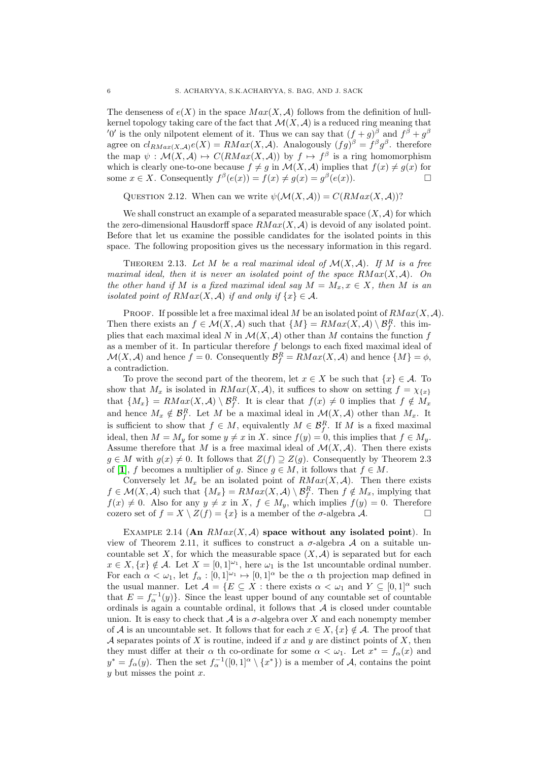The denseness of  $e(X)$  in the space  $Max(X, \mathcal{A})$  follows from the definition of hullkernel topology taking care of the fact that  $\mathcal{M}(X, \mathcal{A})$  is a reduced ring meaning that '0' is the only nilpotent element of it. Thus we can say that  $(f+g)^\beta$  and  $f^\beta+g^\beta$ agree on  $cl_{RMax(X,A)}e(X) = RMax(X,A)$ . Analogously  $(fg)^{\beta} = f^{\beta}g^{\beta}$ . therefore the map  $\psi : \mathcal{M}(X, \mathcal{A}) \mapsto C(RMax(X, \mathcal{A}))$  by  $f \mapsto f^{\beta}$  is a ring homomorphism which is clearly one-to-one because  $f \neq g$  in  $\mathcal{M}(X, \mathcal{A})$  implies that  $f(x) \neq g(x)$  for some  $x \in X$ . Consequently  $f^{\beta}(e(x)) = f(x) \neq g(x) = g^{\beta}(e(x))$ .

QUESTION 2.12. When can we write  $\psi(\mathcal{M}(X,\mathcal{A})) = C(RMax(X,\mathcal{A}))$ ?

We shall construct an example of a separated measurable space  $(X, \mathcal{A})$  for which the zero-dimensional Hausdorff space  $RMax(X, \mathcal{A})$  is devoid of any isolated point. Before that let us examine the possible candidates for the isolated points in this space. The following proposition gives us the necessary information in this regard.

THEOREM 2.13. Let M be a real maximal ideal of  $\mathcal{M}(X,\mathcal{A})$ . If M is a free maximal ideal, then it is never an isolated point of the space  $\mathbb{R} \text{Max}(X, \mathcal{A})$ . On the other hand if M is a fixed maximal ideal say  $M = M_x, x \in X$ , then M is an isolated point of  $RMax(X, \mathcal{A})$  if and only if  $\{x\} \in \mathcal{A}$ .

PROOF. If possible let a free maximal ideal M be an isolated point of  $RMax(X, \mathcal{A})$ . Then there exists an  $f \in \mathcal{M}(X, \mathcal{A})$  such that  $\{M\} = RMax(X, \mathcal{A}) \setminus \mathcal{B}_f^R$ , this implies that each maximal ideal N in  $\mathcal{M}(X, \mathcal{A})$  other than M contains the function f as a member of it. In particular therefore  $f$  belongs to each fixed maximal ideal of  $\mathcal{M}(X, \mathcal{A})$  and hence  $f = 0$ . Consequently  $\mathcal{B}_f^R = RMax(X, \mathcal{A})$  and hence  $\{M\} = \phi$ , a contradiction.

To prove the second part of the theorem, let  $x \in X$  be such that  $\{x\} \in \mathcal{A}$ . To show that  $M_x$  is isolated in  $RMax(X, \mathcal{A})$ , it suffices to show on setting  $f = \chi_{\{x\}}$ that  $\{M_x\} = RMax(X, \mathcal{A}) \setminus \mathcal{B}_f^R$ . It is clear that  $f(x) \neq 0$  implies that  $f \notin M_x$ and hence  $M_x \notin \mathcal{B}_f^R$ . Let M be a maximal ideal in  $\mathcal{M}(X,\mathcal{A})$  other than  $M_x$ . It is sufficient to show that  $f \in M$ , equivalently  $M \in \mathcal{B}_f^R$ . If M is a fixed maximal ideal, then  $M = M_y$  for some  $y \neq x$  in X. since  $f(y) = 0$ , this implies that  $f \in M_y$ . Assume therefore that M is a free maximal ideal of  $\mathcal{M}(X,\mathcal{A})$ . Then there exists  $g \in M$  with  $g(x) \neq 0$ . It follows that  $Z(f) \supseteq Z(g)$ . Consequently by Theorem 2.3 of [[1](#page-11-0)], f becomes a multiplier of g. Since  $g \in M$ , it follows that  $f \in M$ .

Conversely let  $M_x$  be an isolated point of  $RMax(X, \mathcal{A})$ . Then there exists  $f \in \mathcal{M}(X, \mathcal{A})$  such that  $\{M_x\} = \mathbb{R} \mathbb{M} \mathbb{R} \mathbb{R} \mathbb{R} \mathbb{R}$ . Then  $f \notin M_x$ , implying that  $f(x) \neq 0$ . Also for any  $y \neq x$  in  $X, f \in M_y$ , which implies  $f(y) = 0$ . Therefore cozero set of  $f = X \setminus Z(f) = \{x\}$  is a member of the  $\sigma$ -algebra  $\mathcal{A}$ .

EXAMPLE 2.14 (An  $RMax(X, \mathcal{A})$  space without any isolated point). In view of Theorem 2.11, it suffices to construct a  $\sigma$ -algebra A on a suitable uncountable set X, for which the measurable space  $(X, \mathcal{A})$  is separated but for each  $x \in X, \{x\} \notin \mathcal{A}$ . Let  $X = [0,1]^{w_1}$ , here  $\omega_1$  is the 1st uncountable ordinal number. For each  $\alpha < \omega_1$ , let  $f_\alpha : [0,1]^{1} \mapsto [0,1]^\alpha$  be the  $\alpha$  th projection map defined in the usual manner. Let A = {E ⊆ X : there exists α < ω<sup>1</sup> and Y ⊆ [0, 1]<sup>α</sup> such that  $E = f_{\alpha}^{-1}(y)$ . Since the least upper bound of any countable set of countable ordinals is again a countable ordinal, it follows that  $A$  is closed under countable union. It is easy to check that  $A$  is a  $\sigma$ -algebra over X and each nonempty member of A is an uncountable set. It follows that for each  $x \in X, \{x\} \notin \mathcal{A}$ . The proof that A separates points of X is routine, indeed if  $x$  and  $y$  are distinct points of  $X$ , then they must differ at their  $\alpha$  th co-ordinate for some  $\alpha < \omega_1$ . Let  $x^* = f_\alpha(x)$  and  $y^* = f_\alpha(y)$ . Then the set  $f_\alpha^{-1}([0,1]^\alpha \setminus \{x^*\})$  is a member of A, contains the point  $y$  but misses the point  $x$ .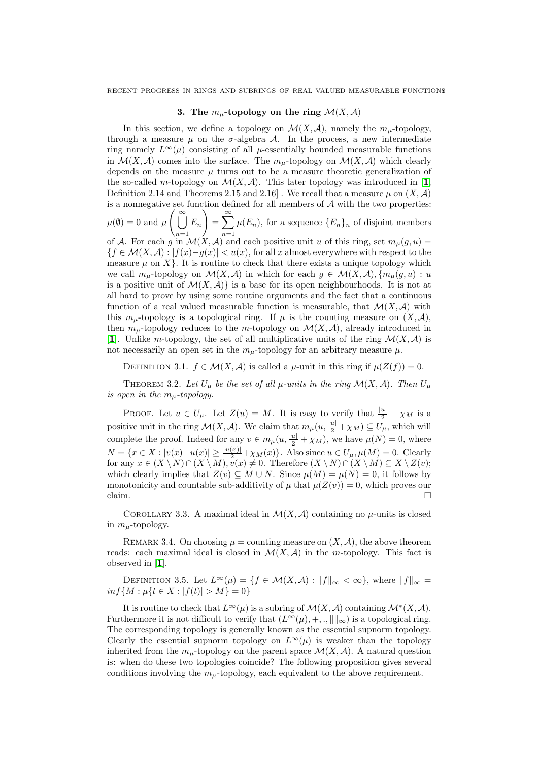## 3. The  $m_{\mu}$ -topology on the ring  $\mathcal{M}(X,\mathcal{A})$

In this section, we define a topology on  $\mathcal{M}(X,\mathcal{A})$ , namely the  $m_{\mu}$ -topology, through a measure  $\mu$  on the  $\sigma$ -algebra A. In the process, a new intermediate ring namely  $L^{\infty}(\mu)$  consisting of all  $\mu$ -essentially bounded measurable functions in  $\mathcal{M}(X,\mathcal{A})$  comes into the surface. The  $m_{\mu}$ -topology on  $\mathcal{M}(X,\mathcal{A})$  which clearly depends on the measure  $\mu$  turns out to be a measure theoretic generalization of the so-called m-topology on  $\mathcal{M}(X,\mathcal{A})$ . This later topology was introduced in [[1](#page-11-0), Definition 2.14 and Theorems 2.15 and 2.16]. We recall that a measure  $\mu$  on  $(X, \mathcal{A})$ is a nonnegative set function defined for all members of  $A$  with the two properties:  $\mu(\emptyset) = 0$  and  $\mu\left(\begin{array}{c} \infty \\ \vdots \end{array}\right)$  $n=1$  $E_n$  $\setminus$  $=\sum_{n=1}^{\infty}$  $n=1$  $\mu(E_n)$ , for a sequence  $\{E_n\}_n$  of disjoint members of A. For each g in  $\mathcal{M}(X, \mathcal{A})$  and each positive unit u of this ring, set  $m_{\mu}(g, u) =$  ${f \in \mathcal{M}(X, \mathcal{A}) : |f(x)-g(x)| < u(x)}$ , for all x almost everywhere with respect to the measure  $\mu$  on X }. It is routine to check that there exists a unique topology which we call  $m_{\mu}$ -topology on  $\mathcal{M}(X, \mathcal{A})$  in which for each  $g \in \mathcal{M}(X, \mathcal{A}), \{m_{\mu}(g, u): u\}$ is a positive unit of  $\mathcal{M}(X,\mathcal{A})$  is a base for its open neighbourhoods. It is not at all hard to prove by using some routine arguments and the fact that a continuous function of a real valued measurable function is measurable, that  $\mathcal{M}(X,\mathcal{A})$  with this  $m_{\mu}$ -topology is a topological ring. If  $\mu$  is the counting measure on  $(X, \mathcal{A}),$ then  $m_{\mu}$ -topology reduces to the m-topology on  $\mathcal{M}(X,\mathcal{A})$ , already introduced in [[1](#page-11-0)]. Unlike m-topology, the set of all multiplicative units of the ring  $\mathcal{M}(X,\mathcal{A})$  is

DEFINITION 3.1.  $f \in \mathcal{M}(X, \mathcal{A})$  is called a  $\mu$ -unit in this ring if  $\mu(Z(f)) = 0$ .

THEOREM 3.2. Let  $U_{\mu}$  be the set of all  $\mu$ -units in the ring  $\mathcal{M}(X,\mathcal{A})$ . Then  $U_{\mu}$ is open in the  $m_{\mu}$ -topology.

not necessarily an open set in the  $m<sub>\mu</sub>$ -topology for an arbitrary measure  $\mu$ .

PROOF. Let  $u \in U_\mu$ . Let  $Z(u) = M$ . It is easy to verify that  $\frac{|u|}{2} + \chi_M$  is a positive unit in the ring  $\mathcal{M}(X, \mathcal{A})$ . We claim that  $m_{\mu}(u, \frac{|u|}{2} + \chi_M) \subseteq U_{\mu}$ , which will complete the proof. Indeed for any  $v \in m_{\mu}(u, \frac{|u|}{2} + \chi_M)$ , we have  $\mu(N) = 0$ , where  $N = \{x \in X : |v(x) - u(x)| \geq \frac{|u(x)|}{2} + \chi_M(x)\}.$  Also since  $u \in U_\mu, \mu(M) = 0.$  Clearly for any  $x \in (X \setminus N) \cap (X \setminus M), v(x) \neq 0$ . Therefore  $(X \setminus N) \cap (X \setminus M) \subseteq X \setminus Z(v)$ ; which clearly implies that  $Z(v) \subseteq M \cup N$ . Since  $\mu(M) = \mu(N) = 0$ , it follows by monotonicity and countable sub-additivity of  $\mu$  that  $\mu(Z(v)) = 0$ , which proves our claim.  $\Box$ 

COROLLARY 3.3. A maximal ideal in  $\mathcal{M}(X,\mathcal{A})$  containing no  $\mu$ -units is closed in  $m_{\mu}$ -topology.

REMARK 3.4. On choosing  $\mu =$  counting measure on  $(X, \mathcal{A})$ , the above theorem reads: each maximal ideal is closed in  $\mathcal{M}(X,\mathcal{A})$  in the m-topology. This fact is observed in [[1](#page-11-0)].

DEFINITION 3.5. Let  $L^{\infty}(\mu) = \{f \in \mathcal{M}(X,\mathcal{A}) : ||f||_{\infty} < \infty\}$ , where  $||f||_{\infty} =$  $inf\{M : \mu\{t \in X : |f(t)| > M\} = 0\}$ 

It is routine to check that  $L^{\infty}(\mu)$  is a subring of  $\mathcal{M}(X,\mathcal{A})$  containing  $\mathcal{M}^{*}(X,\mathcal{A})$ . Furthermore it is not difficult to verify that  $(L^{\infty}(\mu), +, \dots ||_{\infty})$  is a topological ring. The corresponding topology is generally known as the essential supnorm topology. Clearly the essential supnorm topology on  $L^{\infty}(\mu)$  is weaker than the topology inherited from the  $m_{\mu}$ -topology on the parent space  $\mathcal{M}(X,\mathcal{A})$ . A natural question is: when do these two topologies coincide? The following proposition gives several conditions involving the  $m<sub>u</sub>$ -topology, each equivalent to the above requirement.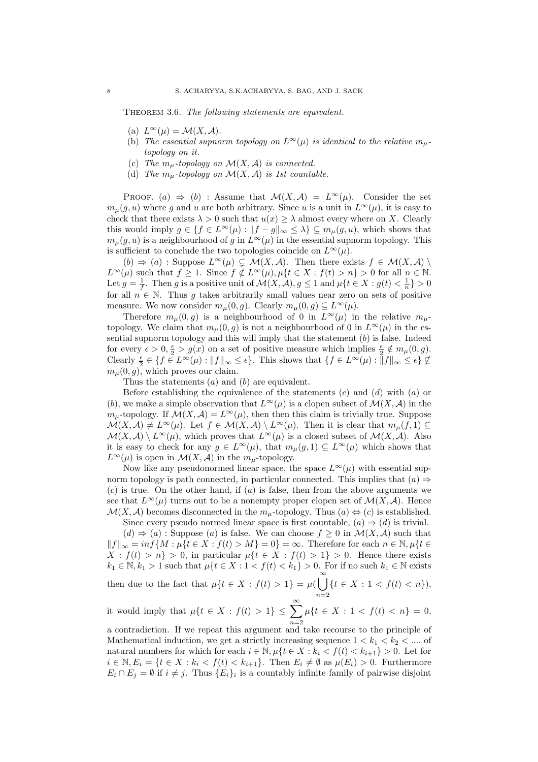<span id="page-7-0"></span>THEOREM 3.6. The following statements are equivalent.

- (a)  $L^{\infty}(\mu) = \mathcal{M}(X, \mathcal{A}).$
- (b) The essential supnorm topology on  $L^{\infty}(\mu)$  is identical to the relative  $m_{\mu}$ topology on it.
- (c) The  $m_{\mu}$ -topology on  $\mathcal{M}(X,\mathcal{A})$  is connected.
- (d) The  $m_{\mu}$ -topology on  $\mathcal{M}(X,\mathcal{A})$  is 1st countable.

PROOF. (a)  $\Rightarrow$  (b) : Assume that  $\mathcal{M}(X,\mathcal{A}) = L^{\infty}(\mu)$ . Consider the set  $m<sub>u</sub>(g, u)$  where g and u are both arbitrary. Since u is a unit in  $L^{\infty}(\mu)$ , it is easy to check that there exists  $\lambda > 0$  such that  $u(x) \geq \lambda$  almost every where on X. Clearly this would imply  $g \in \{f \in L^{\infty}(\mu) : ||f - g||_{\infty} \leq \lambda\} \subseteq m_{\mu}(g, u)$ , which shows that  $m_\mu(g, u)$  is a neighbourhood of g in  $L^\infty(\mu)$  in the essential supnorm topology. This is sufficient to conclude the two topologies coincide on  $L^{\infty}(\mu)$ .

 $(b) \Rightarrow (a)$ : Suppose  $L^{\infty}(\mu) \subsetneq \mathcal{M}(X, \mathcal{A})$ . Then there exists  $f \in \mathcal{M}(X, \mathcal{A})$  $L^{\infty}(\mu)$  such that  $f \geq 1$ . Since  $f \notin L^{\infty}(\mu), \mu\{t \in X : f(t) > n\} > 0$  for all  $n \in \mathbb{N}$ . Let  $g = \frac{1}{f}$ . Then g is a positive unit of  $\mathcal{M}(X, \mathcal{A}), g \leq 1$  and  $\mu\{t \in X : g(t) < \frac{1}{n}\} > 0$ for all  $n \in \mathbb{N}$ . Thus g takes arbitrarily small values near zero on sets of positive measure. We now consider  $m_\mu(0, g)$ . Clearly  $m_\mu(0, g) \subseteq L^\infty(\mu)$ .

Therefore  $m_\mu(0, q)$  is a neighbourhood of 0 in  $L^\infty(\mu)$  in the relative  $m_\mu$ topology. We claim that  $m_\mu(0, g)$  is not a neighbourhood of 0 in  $L^\infty(\mu)$  in the essential supnorm topology and this will imply that the statement (b) is false. Indeed for every  $\epsilon > 0$ ,  $\frac{\epsilon}{2} > g(x)$  on a set of positive measure which implies  $\frac{\epsilon}{2} \notin m_{\mu}(0, g)$ . Clearly  $\frac{\epsilon}{2} \in \{f \in L^{\infty}(\mu) : ||f||_{\infty} \leq \epsilon\}$ . This shows that  $\{f \in L^{\infty}(\mu) : ||f||_{\infty} \leq \epsilon\} \nsubseteq$  $m_\mu(0, g)$ , which proves our claim.

Thus the statements  $(a)$  and  $(b)$  are equivalent.

Before establishing the equivalence of the statements  $(c)$  and  $(d)$  with  $(a)$  or (b), we make a simple observation that  $L^{\infty}(\mu)$  is a clopen subset of  $\mathcal{M}(X,\mathcal{A})$  in the  $m_{\mu}$ -topology. If  $\mathcal{M}(X,\mathcal{A})=L^{\infty}(\mu)$ , then then this claim is trivially true. Suppose  $\mathcal{M}(X,\mathcal{A})\neq L^{\infty}(\mu)$ . Let  $f\in \mathcal{M}(X,\mathcal{A})\setminus L^{\infty}(\mu)$ . Then it is clear that  $m_{\mu}(f,1)\subseteq$  $\mathcal{M}(X,\mathcal{A})\setminus L^{\infty}(\mu)$ , which proves that  $L^{\infty}(\mu)$  is a closed subset of  $\mathcal{M}(X,\mathcal{A})$ . Also it is easy to check for any  $g \in L^{\infty}(\mu)$ , that  $m_{\mu}(g, 1) \subseteq L^{\infty}(\mu)$  which shows that  $L^{\infty}(\mu)$  is open in  $\mathcal{M}(X,\mathcal{A})$  in the  $m_{\mu}$ -topology.

Now like any pseudonormed linear space, the space  $L^{\infty}(\mu)$  with essential supnorm topology is path connected, in particular connected. This implies that  $(a) \Rightarrow$  $(c)$  is true. On the other hand, if  $(a)$  is false, then from the above arguments we see that  $L^{\infty}(\mu)$  turns out to be a nonempty proper clopen set of  $\mathcal{M}(X,\mathcal{A})$ . Hence  $\mathcal{M}(X, \mathcal{A})$  becomes disconnected in the  $m_{\mu}$ -topology. Thus  $(a) \Leftrightarrow (c)$  is established.

Since every pseudo normed linear space is first countable,  $(a) \Rightarrow (d)$  is trivial.  $(d) \Rightarrow (a)$ : Suppose  $(a)$  is false. We can choose  $f \geq 0$  in  $\mathcal{M}(X,\mathcal{A})$  such that  $||f||_{\infty} = inf\{M : \mu\{t \in X : f(t) > M\} = 0\} = \infty$ . Therefore for each  $n \in \mathbb{N}, \mu\{t \in \mathbb{N}\}$  $X : f(t) > n$  > 0, in particular  $\mu\{t \in X : f(t) > 1\} > 0$ . Hence there exists  $k_1 \in \mathbb{N}, k_1 > 1$  such that  $\mu\{t \in X : 1 < f(t) < k_1\} > 0$ . For if no such  $k_1 \in \mathbb{N}$  exists then due to the fact that  $\mu\{t \in X : f(t) > 1\} = \mu(\bigcup_{k=1}^{\infty} \mathbb{I})$  $n=2$  $\{t \in X : 1 < f(t) < n\},\$ 

it would imply that  $\mu\{t \in X : f(t) > 1\} \leq \sum_{k=1}^{\infty}$  $n=2$  $\mu\{t \in X : 1 < f(t) < n\} = 0,$ a contradiction. If we repeat this argument and take recourse to the principle of

Mathematical induction, we get a strictly increasing sequence  $1 < k_1 < k_2 < \dots$  of natural numbers for which for each  $i \in \mathbb{N}, \mu\{t \in X : k_i < f(t) < k_{i+1}\} > 0$ . Let for  $i \in \mathbb{N}, E_i = \{t \in X : k_i < f(t) < k_{i+1}\}.$  Then  $E_i \neq \emptyset$  as  $\mu(E_i) > 0$ . Furthermore  $E_i \cap E_j = \emptyset$  if  $i \neq j$ . Thus  $\{E_i\}_i$  is a countably infinite family of pairwise disjoint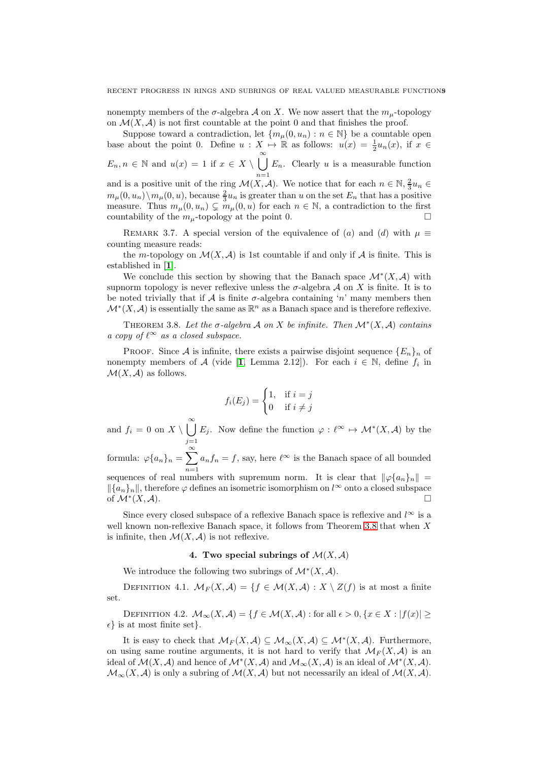nonempty members of the  $\sigma$ -algebra A on X. We now assert that the  $m_{\mu}$ -topology on  $\mathcal{M}(X,\mathcal{A})$  is not first countable at the point 0 and that finishes the proof.

Suppose toward a contradiction, let  ${m_u(0, u_n): n \in \mathbb{N}}$  be a countable open base about the point 0. Define  $u: X \mapsto \mathbb{R}$  as follows:  $u(x) = \frac{1}{2}u_n(x)$ , if  $x \in$ 2  $E_n, n \in \mathbb{N}$  and  $u(x) = 1$  if  $x \in X \setminus \bigcup_{n=1}^{\infty}$  $n=1$  $E_n$ . Clearly u is a measurable function and is a positive unit of the ring  $\mathcal{M}(X,\mathcal{A})$ . We notice that for each  $n \in \mathbb{N}, \frac{2}{3}u_n \in$  $m_\mu(0, u_n) \setminus m_\mu(0, u)$ , because  $\frac{2}{3} u_n$  is greater than u on the set  $E_n$  that has a positive measure. Thus  $m_{\mu}(0, u_n) \subsetneq m_{\mu}(0, u)$  for each  $n \in \mathbb{N}$ , a contradiction to the first countability of the  $m_{\mu}$ -topology at the point 0.

REMARK 3.7. A special version of the equivalence of (a) and (d) with  $\mu \equiv$ counting measure reads:

the m-topology on  $\mathcal{M}(X,\mathcal{A})$  is 1st countable if and only if  $\mathcal A$  is finite. This is established in [[1](#page-11-0)].

We conclude this section by showing that the Banach space  $\mathcal{M}^*(X,\mathcal{A})$  with supnorm topology is never reflexive unless the  $\sigma$ -algebra  $\mathcal A$  on X is finite. It is to be noted trivially that if  $\mathcal A$  is finite  $\sigma$ -algebra containing 'n' many members then  $\mathcal{M}^*(X, \mathcal{A})$  is essentially the same as  $\mathbb{R}^n$  as a Banach space and is therefore reflexive.

<span id="page-8-0"></span>THEOREM 3.8. Let the  $\sigma$ -algebra A on X be infinite. Then  $\mathcal{M}^*(X,\mathcal{A})$  contains a copy of  $\ell^{\infty}$  as a closed subspace.

PROOF. Since A is infinite, there exists a pairwise disjoint sequence  ${E_n}_n$  of nonempty members of A (vide [[1](#page-11-0), Lemma 2.12]). For each  $i \in \mathbb{N}$ , define  $f_i$  in  $\mathcal{M}(X,\mathcal{A})$  as follows.

$$
f_i(E_j) = \begin{cases} 1, & \text{if } i = j \\ 0 & \text{if } i \neq j \end{cases}
$$

and  $f_i = 0$  on  $X \setminus \bigcup_{i=1}^{\infty}$  $j=1$  $E_j$ . Now define the function  $\varphi: \ell^{\infty} \mapsto \mathcal{M}^*(X, \mathcal{A})$  by the

formula:  $\varphi\{a_n\}_n = \sum_{n=0}^{\infty}$  $n=1$  $a_n f_n = f$ , say, here  $\ell^{\infty}$  is the Banach space of all bounded sequences of real numbers with supremum norm. It is clear that  $\|\varphi\{a_n\}_n\|$  =

 $\{a_n\}_n$ , therefore  $\varphi$  defines an isometric isomorphism on l<sup>∞</sup> onto a closed subspace of  $\mathcal{M}^*(X,\mathcal{A})$ .  $(X, \mathcal{A})$ .

Since every closed subspace of a reflexive Banach space is reflexive and  $l^{\infty}$  is a well known non-reflexive Banach space, it follows from Theorem [3.8](#page-8-0) that when X is infinite, then  $\mathcal{M}(X, \mathcal{A})$  is not reflexive.

## 4. Two special subrings of  $\mathcal{M}(X,\mathcal{A})$

We introduce the following two subrings of  $\mathcal{M}^*(X, \mathcal{A})$ .

DEFINITION 4.1.  $\mathcal{M}_F(X, \mathcal{A}) = \{f \in \mathcal{M}(X, \mathcal{A}) : X \setminus Z(f) \text{ is at most a finite}\}\$ set.

DEFINITION 4.2.  $\mathcal{M}_{\infty}(X,\mathcal{A}) = \{f \in \mathcal{M}(X,\mathcal{A}) : \text{for all } \epsilon > 0, \{x \in X : |f(x)| \geq \epsilon\}$  $\epsilon$ } is at most finite set}.

It is easy to check that  $\mathcal{M}_F(X, \mathcal{A}) \subseteq \mathcal{M}_{\infty}(X, \mathcal{A}) \subseteq \mathcal{M}^*(X, \mathcal{A})$ . Furthermore, on using same routine arguments, it is not hard to verify that  $\mathcal{M}_F(X, \mathcal{A})$  is an ideal of  $\mathcal{M}(X,\mathcal{A})$  and hence of  $\mathcal{M}^*(X,\mathcal{A})$  and  $\mathcal{M}_{\infty}(X,\mathcal{A})$  is an ideal of  $\mathcal{M}^*(X,\mathcal{A})$ .  $\mathcal{M}_{\infty}(X, \mathcal{A})$  is only a subring of  $\mathcal{M}(X, \mathcal{A})$  but not necessarily an ideal of  $\mathcal{M}(X, \mathcal{A})$ .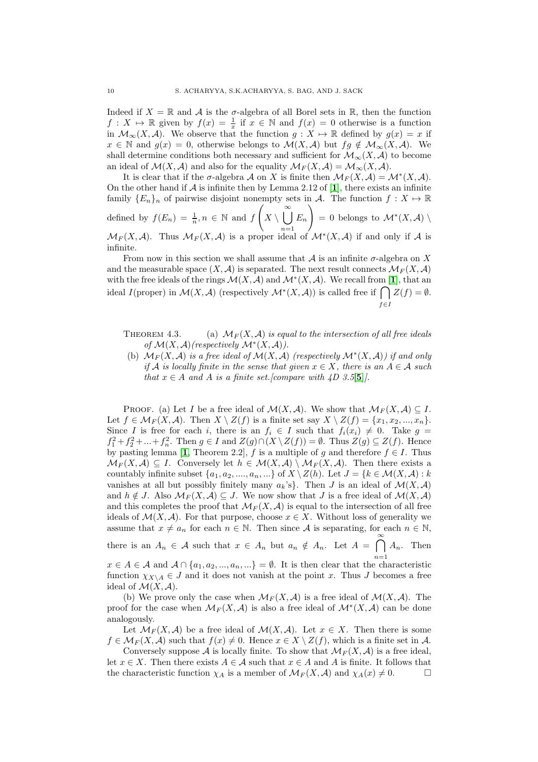Indeed if  $X = \mathbb{R}$  and A is the  $\sigma$ -algebra of all Borel sets in  $\mathbb{R}$ , then the function  $f: X \mapsto \mathbb{R}$  given by  $f(x) = \frac{1}{x}$  if  $x \in \mathbb{N}$  and  $f(x) = 0$  otherwise is a function in  $\mathcal{M}_{\infty}(X,\mathcal{A})$ . We observe that the function  $g: X \mapsto \mathbb{R}$  defined by  $g(x) = x$  if  $x \in \mathbb{N}$  and  $q(x) = 0$ , otherwise belongs to  $\mathcal{M}(X, \mathcal{A})$  but  $fq \notin \mathcal{M}_{\infty}(X, \mathcal{A})$ . We shall determine conditions both necessary and sufficient for  $\mathcal{M}_{\infty}(X,\mathcal{A})$  to become an ideal of  $\mathcal{M}(X,\mathcal{A})$  and also for the equality  $\mathcal{M}_F(X,\mathcal{A}) = \mathcal{M}_{\infty}(X,\mathcal{A}).$ 

It is clear that if the  $\sigma$ -algebra A on X is finite then  $\mathcal{M}_F(X, \mathcal{A}) = \mathcal{M}^*(X, \mathcal{A})$ . On the other hand if  $\mathcal A$  is infinite then by Lemma 2.[1](#page-11-0)2 of [1], there exists an infinite family  $\{E_n\}_n$  of pairwise disjoint nonempty sets in A. The function  $f: X \mapsto \mathbb{R}$ defined by  $f(E_n) = \frac{1}{n}, n \in \mathbb{N}$  and f  $\sqrt{2}$  $X \setminus \bigcup^{\infty}$  $E_n$  $\setminus$  $= 0$  belongs to  $\mathcal{M}^*(X, \mathcal{A})$ 

 $n=1$  $\mathcal{M}_F(X,\mathcal{A})$ . Thus  $\mathcal{M}_F(X,\mathcal{A})$  is a proper ideal of  $\mathcal{M}^*(X,\mathcal{A})$  if and only if  $\mathcal A$  is infinite.

From now in this section we shall assume that  $A$  is an infinite  $\sigma$ -algebra on X and the measurable space  $(X, \mathcal{A})$  is separated. The next result connects  $\mathcal{M}_F(X, \mathcal{A})$ with the free ideals of the rings  $\mathcal{M}(X,\mathcal{A})$  and  $\mathcal{M}^*(X,\mathcal{A})$ . We recall from [[1](#page-11-0)], that an ideal  $I(\text{proper})$  in  $\mathcal{M}(X,\mathcal{A})$  (respectively  $\mathcal{M}^*(X,\mathcal{A})$ ) is called free if  $\bigcap Z(f) = \emptyset$ .  $f \in I$ 

THEOREM 4.3. (a)  $\mathcal{M}_F(X, \mathcal{A})$  is equal to the intersection of all free ideals of  $\mathcal{M}(X, \mathcal{A})$  (respectively  $\mathcal{M}^*(X, \mathcal{A})$ ).

(b)  $\mathcal{M}_F(X, \mathcal{A})$  is a free ideal of  $\mathcal{M}(X, \mathcal{A})$  (respectively  $\mathcal{M}^*(X, \mathcal{A})$ ) if and only if A is locally finite in the sense that given  $x \in X$ , there is an  $A \in \mathcal{A}$  such that  $x \in A$  and A is a finite set. [compare with  $\angle D$  3.[5](#page-11-1)[5]].

PROOF. (a) Let I be a free ideal of  $\mathcal{M}(X,\mathcal{A})$ . We show that  $\mathcal{M}_F(X,\mathcal{A}) \subseteq I$ . Let  $f \in \mathcal{M}_F(X, \mathcal{A})$ . Then  $X \setminus Z(f)$  is a finite set say  $X \setminus Z(f) = \{x_1, x_2, ..., x_n\}$ . Since I is free for each i, there is an  $f_i \in I$  such that  $f_i(x_i) \neq 0$ . Take  $g =$  $f_1^2 + f_2^2 + ... + f_n^2$ . Then  $g \in I$  and  $Z(g) \cap (X \setminus Z(f)) = \emptyset$ . Thus  $Z(g) \subseteq Z(f)$ . Hence by pasting lemma [[1](#page-11-0), Theorem 2.2], f is a multiple of g and therefore  $f \in I$ . Thus  $\mathcal{M}_F(X,\mathcal{A}) \subseteq I$ . Conversely let  $h \in \mathcal{M}(X,\mathcal{A}) \setminus \mathcal{M}_F(X,\mathcal{A})$ . Then there exists a countably infinite subset  $\{a_1, a_2, ..., a_n, ...\}$  of  $X \setminus Z(h)$ . Let  $J = \{k \in \mathcal{M}(X, \mathcal{A}) : k\}$ vanishes at all but possibly finitely many  $a_k$ 's}. Then J is an ideal of  $\mathcal{M}(X,\mathcal{A})$ and  $h \notin J$ . Also  $\mathcal{M}_F(X, \mathcal{A}) \subseteq J$ . We now show that J is a free ideal of  $\mathcal{M}(X, \mathcal{A})$ and this completes the proof that  $\mathcal{M}_F(X, \mathcal{A})$  is equal to the intersection of all free ideals of  $\mathcal{M}(X,\mathcal{A})$ . For that purpose, choose  $x \in X$ . Without loss of generality we assume that  $x \neq a_n$  for each  $n \in \mathbb{N}$ . Then since A is separating, for each  $n \in \mathbb{N}$ , there is an  $A_n \in \mathcal{A}$  such that  $x \in A_n$  but  $a_n \notin A_n$ . Let  $A = \bigcap_{n=1}^{\infty} A_n$ . Then

 $x \in A \in \mathcal{A}$  and  $\mathcal{A} \cap \{a_1, a_2, ..., a_n, ...\} = \emptyset$ . It is then clear that the characteristic

function  $\chi_{X\setminus A} \in J$  and it does not vanish at the point x. Thus J becomes a free ideal of  $\mathcal{M}(X,\mathcal{A})$ .

(b) We prove only the case when  $\mathcal{M}_F(X, \mathcal{A})$  is a free ideal of  $\mathcal{M}(X, \mathcal{A})$ . The proof for the case when  $\mathcal{M}_F(X, \mathcal{A})$  is also a free ideal of  $\mathcal{M}^*(X, \mathcal{A})$  can be done analogously.

Let  $\mathcal{M}_F(X, \mathcal{A})$  be a free ideal of  $\mathcal{M}(X, \mathcal{A})$ . Let  $x \in X$ . Then there is some  $f \in \mathcal{M}_F(X, \mathcal{A})$  such that  $f(x) \neq 0$ . Hence  $x \in X \setminus Z(f)$ , which is a finite set in A.

Conversely suppose A is locally finite. To show that  $\mathcal{M}_F(X, \mathcal{A})$  is a free ideal, let  $x \in X$ . Then there exists  $A \in \mathcal{A}$  such that  $x \in A$  and A is finite. It follows that the characteristic function  $\chi_A$  is a member of  $\mathcal{M}_F(X, \mathcal{A})$  and  $\chi_A(x) \neq 0$ .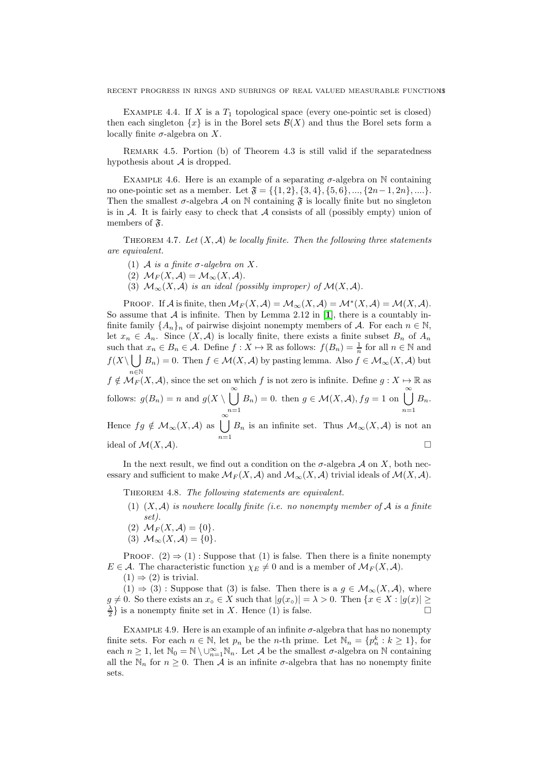EXAMPLE 4.4. If X is a  $T_1$  topological space (every one-pointic set is closed) then each singleton  $\{x\}$  is in the Borel sets  $\mathcal{B}(X)$  and thus the Borel sets form a locally finite  $\sigma$ -algebra on X.

Remark 4.5. Portion (b) of Theorem 4.3 is still valid if the separatedness hypothesis about  $A$  is dropped.

EXAMPLE 4.6. Here is an example of a separating  $\sigma$ -algebra on N containing no one-pointic set as a member. Let  $\mathfrak{F} = \{\{1,2\},\{3,4\},\{5,6\},\ldots,\{2n-1,2n\},\ldots\}.$ Then the smallest  $\sigma$ -algebra A on N containing  $\mathfrak F$  is locally finite but no singleton is in  $\mathcal A$ . It is fairly easy to check that  $\mathcal A$  consists of all (possibly empty) union of members of  $\mathfrak{F}$ .

THEOREM 4.7. Let  $(X, \mathcal{A})$  be locally finite. Then the following three statements are equivalent.

- (1) A is a finite  $\sigma$ -algebra on X.
- (2)  $\mathcal{M}_F(X, \mathcal{A}) = \mathcal{M}_\infty(X, \mathcal{A}).$
- (3)  $\mathcal{M}_{\infty}(X, \mathcal{A})$  is an ideal (possibly improper) of  $\mathcal{M}(X, \mathcal{A})$ .

PROOF. If A is finite, then  $\mathcal{M}_F(X,\mathcal{A}) = \mathcal{M}_\infty(X,\mathcal{A}) = \mathcal{M}^*(X,\mathcal{A}) = \mathcal{M}(X,\mathcal{A}).$ So assume that  $A$  is infinite. Then by Lemma 2.[1](#page-11-0)2 in [1], there is a countably infinite family  $\{A_n\}_n$  of pairwise disjoint nonempty members of A. For each  $n \in \mathbb{N}$ , let  $x_n \in A_n$ . Since  $(X, \mathcal{A})$  is locally finite, there exists a finite subset  $B_n$  of  $A_n$ such that  $x_n \in B_n \in A$ . Define  $f: X \mapsto \mathbb{R}$  as follows:  $f(B_n) = \frac{1}{n}$  for all  $n \in \mathbb{N}$  and  $f(X\setminus \bigcup B_n)=0.$  Then  $f\in \mathcal{M}(X,\mathcal{A})$  by pasting lemma. Also  $f\in \mathcal{M}_{\infty}(X,\mathcal{A})$  but n∈N  $f \notin \mathcal{M}_F(X, \mathcal{A})$ , since the set on which f is not zero is infinite. Define  $g : X \mapsto \mathbb{R}$  as follows:  $g(B_n) = n$  and  $g(X \setminus \bigcup_{n=1}^{\infty} g(n))$  $n=1$  $B_n$ ) = 0. then  $g \in \mathcal{M}(X, \mathcal{A}), fg = 1$  on  $\bigcup_{n=1}^{\infty}$  $n=1$  $B_n$ . Hence  $fg \notin \mathcal{M}_{\infty}(X, \mathcal{A})$  as  $\bigcup^{\infty}$  $n=1$  $B_n$  is an infinite set. Thus  $\mathcal{M}_{\infty}(X,\mathcal{A})$  is not an ideal of  $\mathcal{M}(X,\mathcal{A})$ .

In the next result, we find out a condition on the  $\sigma$ -algebra  $\mathcal A$  on X, both necessary and sufficient to make  $\mathcal{M}_F(X, \mathcal{A})$  and  $\mathcal{M}_{\infty}(X, \mathcal{A})$  trivial ideals of  $\mathcal{M}(X, \mathcal{A})$ .

THEOREM 4.8. The following statements are equivalent.

- (1)  $(X, \mathcal{A})$  is nowhere locally finite (i.e. no nonempty member of  $\mathcal{A}$  is a finite set).
- (2)  $\mathcal{M}_F(X, \mathcal{A}) = \{0\}.$
- (3)  $\mathcal{M}_{\infty}(X,\mathcal{A}) = \{0\}.$

PROOF.  $(2) \Rightarrow (1)$ : Suppose that  $(1)$  is false. Then there is a finite nonempty  $E \in \mathcal{A}$ . The characteristic function  $\chi_E \neq 0$  and is a member of  $\mathcal{M}_F(X, \mathcal{A})$ .

 $(1) \Rightarrow (2)$  is trivial.

 $(1) \Rightarrow (3)$ : Suppose that  $(3)$  is false. Then there is a  $g \in \mathcal{M}_{\infty}(X, \mathcal{A})$ , where  $g \neq 0$ . So there exists an  $x \circ \in X$  such that  $|g(x \circ)| = \lambda > 0$ . Then  $\{x \in X : |g(x)| \geq \lambda\}$  $\frac{\lambda}{2}$  is a nonempty finite set in X. Hence (1) is false.

EXAMPLE 4.9. Here is an example of an infinite  $\sigma$ -algebra that has no nonempty finite sets. For each  $n \in \mathbb{N}$ , let  $p_n$  be the *n*-th prime. Let  $\mathbb{N}_n = \{p_n^k : k \geq 1\}$ , for each  $n \geq 1$ , let  $\mathbb{N}_0 = \mathbb{N} \setminus \cup_{n=1}^{\infty} \mathbb{N}_n$ . Let A be the smallest  $\sigma$ -algebra on  $\mathbb N$  containing all the  $\mathbb{N}_n$  for  $n \geq 0$ . Then A is an infinite  $\sigma$ -algebra that has no nonempty finite sets.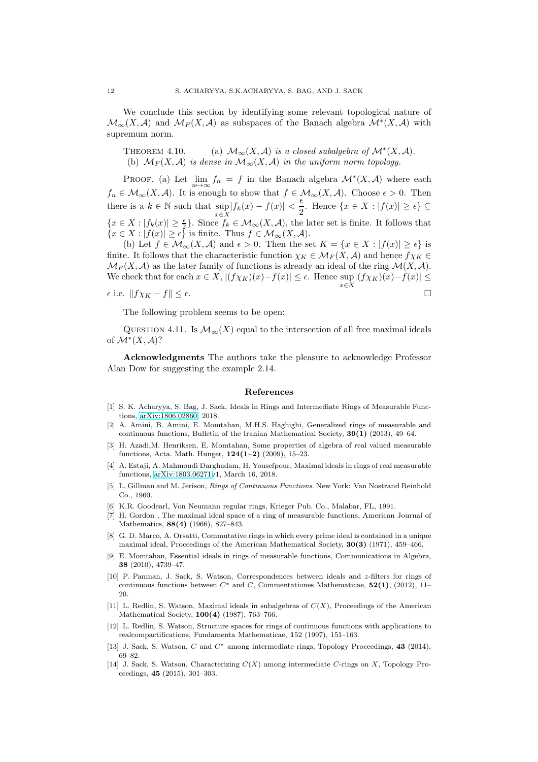We conclude this section by identifying some relevant topological nature of  $\mathcal{M}_{\infty}(X,\mathcal{A})$  and  $\mathcal{M}_F(X,\mathcal{A})$  as subspaces of the Banach algebra  $\mathcal{M}^*(X,\mathcal{A})$  with supremum norm.

THEOREM 4.10. (a)  $\mathcal{M}_{\infty}(X,\mathcal{A})$  is a closed subalgebra of  $\mathcal{M}^*(X,\mathcal{A})$ . (b)  $\mathcal{M}_F(X, \mathcal{A})$  is dense in  $\mathcal{M}_{\infty}(X, \mathcal{A})$  in the uniform norm topology.

PROOF. (a) Let  $\lim_{n\to\infty}f_n = f$  in the Banach algebra  $\mathcal{M}^*(X,\mathcal{A})$  where each  $f_n \in \mathcal{M}_{\infty}(X, \mathcal{A})$ . It is enough to show that  $f \in \mathcal{M}_{\infty}(X, \mathcal{A})$ . Choose  $\epsilon > 0$ . Then there is a  $k \in \mathbb{N}$  such that  $\sup_{x \in X} |f_k(x) - f(x)| < \frac{\epsilon}{2}$  $\frac{1}{2}$ . Hence  $\{x \in X : |f(x)| \geq \epsilon\} \subseteq$  ${x \in X : |f_k(x)| \geq \frac{\epsilon}{2}}$ . Since  $f_k \in \mathcal{M}_{\infty}(X, \mathcal{A})$ , the later set is finite. It follows that  $\{x \in X : |f(x)| \geq \epsilon\}$  is finite. Thus  $f \in \mathcal{M}_{\infty}(X, \mathcal{A})$ .

(b) Let  $f \in \mathcal{M}_{\infty}(X,\mathcal{A})$  and  $\epsilon > 0$ . Then the set  $K = \{x \in X : |f(x)| \geq \epsilon\}$  is finite. It follows that the characteristic function  $\chi_K \in \mathcal{M}_F(X, \mathcal{A})$  and hence  $f\chi_K \in$  $\mathcal{M}_F(X, \mathcal{A})$  as the later family of functions is already an ideal of the ring  $\mathcal{M}(X, \mathcal{A})$ . We check that for each  $x \in X$ ,  $|(f\chi_K)(x) - f(x)| \le \epsilon$ . Hence  $\sup_{x \in X} |(f\chi_K)(x) - f(x)| \le$ 

 $\epsilon$  i.e.  $||f\chi_K - f|| \leq \epsilon$ .

The following problem seems to be open:

QUESTION 4.11. Is  $\mathcal{M}_{\infty}(X)$  equal to the intersection of all free maximal ideals of  $\mathcal{M}^*(X, \mathcal{A})$ ?

Acknowledgments The authors take the pleasure to acknowledge Professor Alan Dow for suggesting the example 2.14.

#### References

- <span id="page-11-0"></span>[1] S. K. Acharyya, S. Bag, J. Sack, Ideals in Rings and Intermediate Rings of Measurable Functions, [arXiv:1806.02860,](http://arxiv.org/abs/1806.02860) 2018.
- <span id="page-11-2"></span>[2] A. Amini, B. Amini, E. Momtahan, M.H.S. Haghighi, Generalized rings of measurable and continuous functions, Bulletin of the Iranian Mathematical Society, 39(1) (2013), 49–64.
- <span id="page-11-3"></span>[3] H. Azadi,M. Henriksen, E. Momtahan, Some properties of algebra of real valued measurable functions, Acta. Math. Hunger, 124(1–2) (2009), 15–23.
- <span id="page-11-4"></span>[4] A. Estaji, A. Mahmoudi Darghadam, H. Yousefpour, Maximal ideals in rings of real measurable functions, [arXiv:1803.06271v](http://arxiv.org/abs/1803.06271)1, March 16, 2018.
- <span id="page-11-1"></span>[5] L. Gillman and M. Jerison, Rings of Continuous Functions. New York: Van Nostrand Reinhold Co., 1960.
- <span id="page-11-5"></span>[6] K.R. Goodearl, Von Neumann regular rings, Krieger Pub. Co., Malabar, FL, 1991.
- [7] H. Gordon , The maximal ideal space of a ring of measurable functions, American Journal of Mathematics, **88(4)** (1966), 827-843.
- [8] G. D. Marco, A. Orsatti, Commutative rings in which every prime ideal is contained in a unique maximal ideal, Proceedings of the American Mathematical Society, 30(3) (1971), 459–466.
- [9] E. Momtahan, Essential ideals in rings of measurable functions, Communications in Algebra, 38 (2010), 4739–47.
- [10] P. Panman, J. Sack, S. Watson, Correspondences between ideals and z-filters for rings of continuous functions between  $C^*$  and C, Commentationes Mathematicae,  $52(1)$ , (2012), 11– 20.
- [11] L. Redlin, S. Watson, Maximal ideals in subalgebras of  $C(X)$ , Proceedings of the American Mathematical Society, 100(4) (1987), 763–766.
- [12] L. Redlin, S. Watson, Structure spaces for rings of continuous functions with applications to realcompactifications, Fundamenta Mathematicae, 152 (1997), 151–163.
- [13] J. Sack, S. Watson, C and  $C^*$  among intermediate rings, Topology Proceedings, 43 (2014), 69–82.
- [14] J. Sack, S. Watson, Characterizing  $C(X)$  among intermediate C-rings on X, Topology Proceedings, 45 (2015), 301–303.